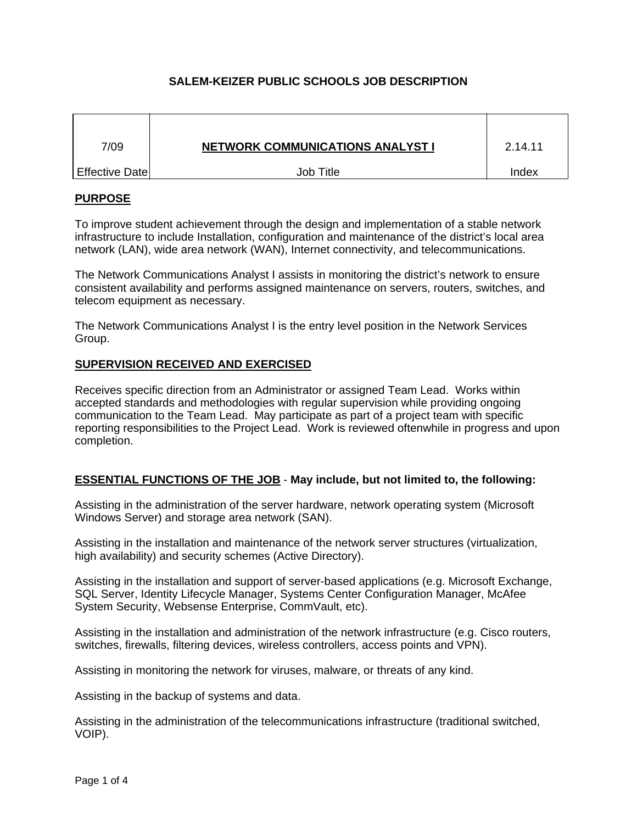# **SALEM-KEIZER PUBLIC SCHOOLS JOB DESCRIPTION**

| 7/09             | <b>NETWORK COMMUNICATIONS ANALYST I</b> | 2.14.11 |
|------------------|-----------------------------------------|---------|
| ∣ Effective Date | Job Title                               | Index   |

## **PURPOSE**

To improve student achievement through the design and implementation of a stable network infrastructure to include Installation, configuration and maintenance of the district's local area network (LAN), wide area network (WAN), Internet connectivity, and telecommunications.

The Network Communications Analyst I assists in monitoring the district's network to ensure consistent availability and performs assigned maintenance on servers, routers, switches, and telecom equipment as necessary.

The Network Communications Analyst I is the entry level position in the Network Services Group.

## **SUPERVISION RECEIVED AND EXERCISED**

Receives specific direction from an Administrator or assigned Team Lead. Works within accepted standards and methodologies with regular supervision while providing ongoing communication to the Team Lead. May participate as part of a project team with specific reporting responsibilities to the Project Lead. Work is reviewed oftenwhile in progress and upon completion.

## **ESSENTIAL FUNCTIONS OF THE JOB** - **May include, but not limited to, the following:**

Assisting in the administration of the server hardware, network operating system (Microsoft Windows Server) and storage area network (SAN).

Assisting in the installation and maintenance of the network server structures (virtualization, high availability) and security schemes (Active Directory).

Assisting in the installation and support of server-based applications (e.g. Microsoft Exchange, SQL Server, Identity Lifecycle Manager, Systems Center Configuration Manager, McAfee System Security, Websense Enterprise, CommVault, etc).

Assisting in the installation and administration of the network infrastructure (e.g. Cisco routers, switches, firewalls, filtering devices, wireless controllers, access points and VPN).

Assisting in monitoring the network for viruses, malware, or threats of any kind.

Assisting in the backup of systems and data.

Assisting in the administration of the telecommunications infrastructure (traditional switched, VOIP).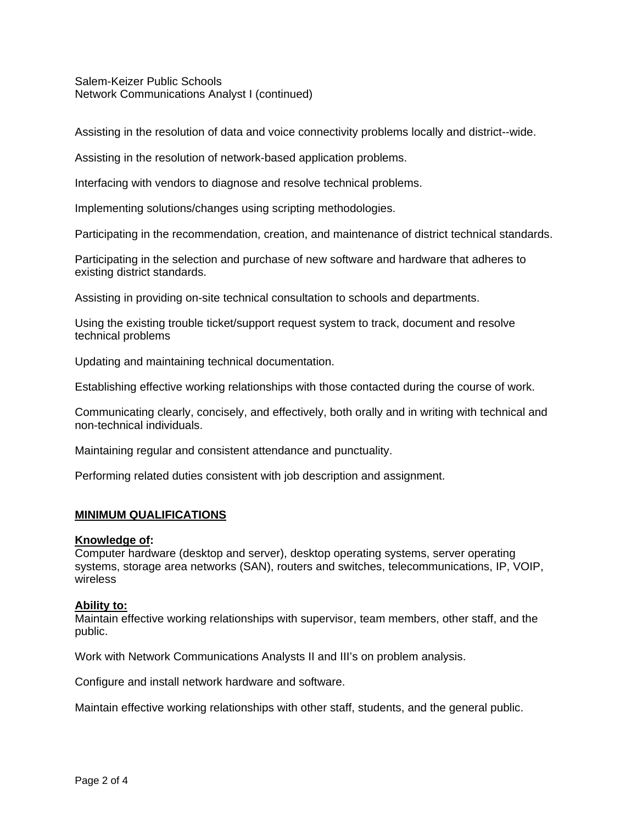Salem-Keizer Public Schools Network Communications Analyst I (continued)

Assisting in the resolution of data and voice connectivity problems locally and district--wide.

Assisting in the resolution of network-based application problems.

Interfacing with vendors to diagnose and resolve technical problems.

Implementing solutions/changes using scripting methodologies.

Participating in the recommendation, creation, and maintenance of district technical standards.

Participating in the selection and purchase of new software and hardware that adheres to existing district standards.

Assisting in providing on-site technical consultation to schools and departments.

Using the existing trouble ticket/support request system to track, document and resolve technical problems

Updating and maintaining technical documentation.

Establishing effective working relationships with those contacted during the course of work.

Communicating clearly, concisely, and effectively, both orally and in writing with technical and non-technical individuals.

Maintaining regular and consistent attendance and punctuality.

Performing related duties consistent with job description and assignment.

# **MINIMUM QUALIFICATIONS**

## **Knowledge of:**

Computer hardware (desktop and server), desktop operating systems, server operating systems, storage area networks (SAN), routers and switches, telecommunications, IP, VOIP, wireless

## **Ability to:**

Maintain effective working relationships with supervisor, team members, other staff, and the public.

Work with Network Communications Analysts II and III's on problem analysis.

Configure and install network hardware and software.

Maintain effective working relationships with other staff, students, and the general public.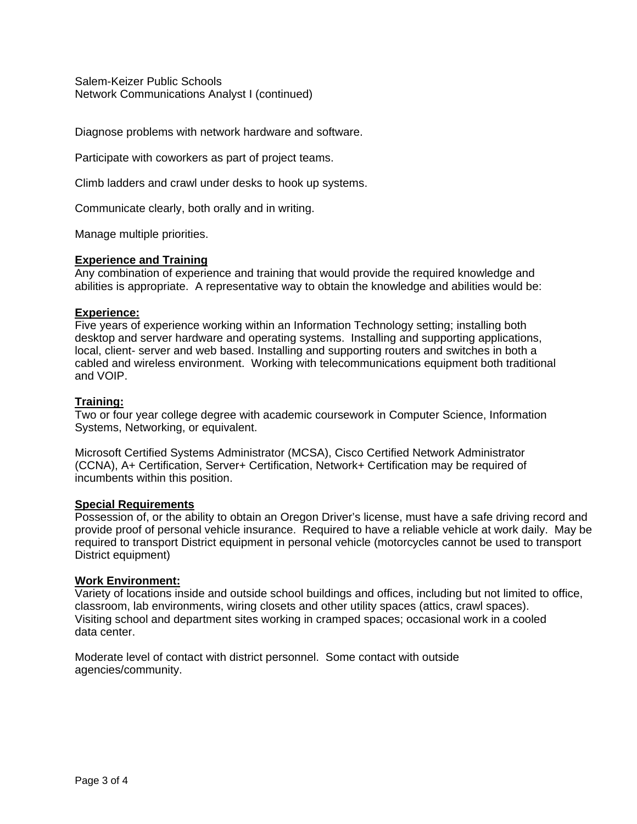Salem-Keizer Public Schools Network Communications Analyst I (continued)

Diagnose problems with network hardware and software.

Participate with coworkers as part of project teams.

Climb ladders and crawl under desks to hook up systems.

Communicate clearly, both orally and in writing.

Manage multiple priorities.

## **Experience and Training**

Any combination of experience and training that would provide the required knowledge and abilities is appropriate. A representative way to obtain the knowledge and abilities would be:

#### **Experience:**

Five years of experience working within an Information Technology setting; installing both desktop and server hardware and operating systems. Installing and supporting applications, local, client- server and web based. Installing and supporting routers and switches in both a cabled and wireless environment. Working with telecommunications equipment both traditional and VOIP.

## **Training:**

Two or four year college degree with academic coursework in Computer Science, Information Systems, Networking, or equivalent.

Microsoft Certified Systems Administrator (MCSA), Cisco Certified Network Administrator (CCNA), A+ Certification, Server+ Certification, Network+ Certification may be required of incumbents within this position.

#### **Special Requirements**

Possession of, or the ability to obtain an Oregon Driver's license, must have a safe driving record and provide proof of personal vehicle insurance. Required to have a reliable vehicle at work daily. May be required to transport District equipment in personal vehicle (motorcycles cannot be used to transport District equipment)

#### **Work Environment:**

Variety of locations inside and outside school buildings and offices, including but not limited to office, classroom, lab environments, wiring closets and other utility spaces (attics, crawl spaces). Visiting school and department sites working in cramped spaces; occasional work in a cooled data center.

Moderate level of contact with district personnel. Some contact with outside agencies/community.